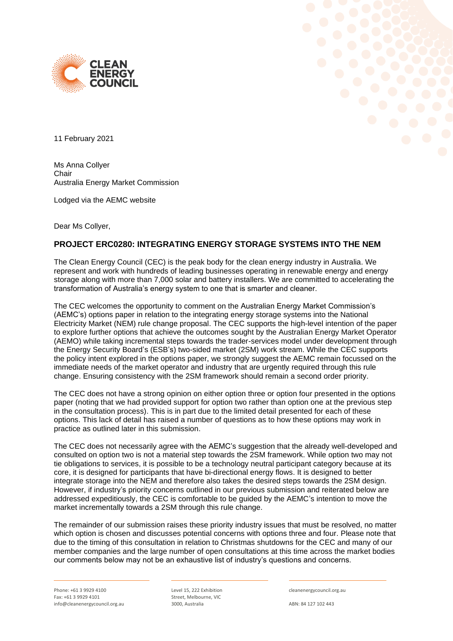



11 February 2021

Ms Anna Collyer Chair Australia Energy Market Commission

Lodged via the AEMC website

Dear Ms Collyer,

# **PROJECT ERC0280: INTEGRATING ENERGY STORAGE SYSTEMS INTO THE NEM**

The Clean Energy Council (CEC) is the peak body for the clean energy industry in Australia. We represent and work with hundreds of leading businesses operating in renewable energy and energy storage along with more than 7,000 solar and battery installers. We are committed to accelerating the transformation of Australia's energy system to one that is smarter and cleaner.

The CEC welcomes the opportunity to comment on the Australian Energy Market Commission's (AEMC's) options paper in relation to the integrating energy storage systems into the National Electricity Market (NEM) rule change proposal. The CEC supports the high-level intention of the paper to explore further options that achieve the outcomes sought by the Australian Energy Market Operator (AEMO) while taking incremental steps towards the trader-services model under development through the Energy Security Board's (ESB's) two-sided market (2SM) work stream. While the CEC supports the policy intent explored in the options paper, we strongly suggest the AEMC remain focussed on the immediate needs of the market operator and industry that are urgently required through this rule change. Ensuring consistency with the 2SM framework should remain a second order priority.

The CEC does not have a strong opinion on either option three or option four presented in the options paper (noting that we had provided support for option two rather than option one at the previous step in the consultation process). This is in part due to the limited detail presented for each of these options. This lack of detail has raised a number of questions as to how these options may work in practice as outlined later in this submission.

The CEC does not necessarily agree with the AEMC's suggestion that the already well-developed and consulted on option two is not a material step towards the 2SM framework. While option two may not tie obligations to services, it is possible to be a technology neutral participant category because at its core, it is designed for participants that have bi-directional energy flows. It is designed to better integrate storage into the NEM and therefore also takes the desired steps towards the 2SM design. However, if industry's priority concerns outlined in our previous submission and reiterated below are addressed expeditiously, the CEC is comfortable to be guided by the AEMC's intention to move the market incrementally towards a 2SM through this rule change.

The remainder of our submission raises these priority industry issues that must be resolved, no matter which option is chosen and discusses potential concerns with options three and four. Please note that due to the timing of this consultation in relation to Christmas shutdowns for the CEC and many of our member companies and the large number of open consultations at this time across the market bodies our comments below may not be an exhaustive list of industry's questions and concerns.

Level 15, 222 Exhibition Street, Melbourne, VIC 3000, Australia

cleanenergycouncil.org.au

ABN: 84 127 102 443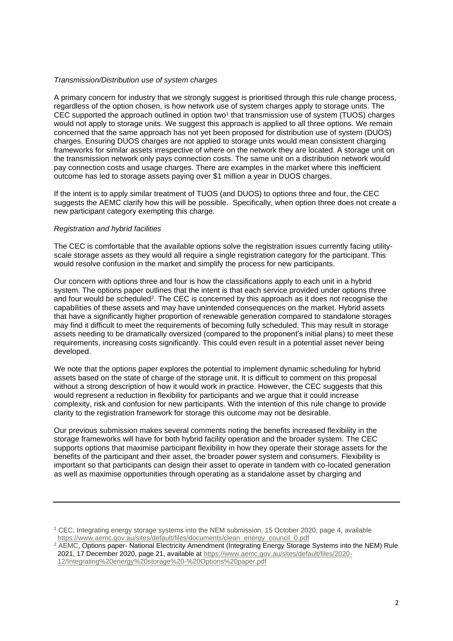#### *Transmission/Distribution use of system charges*

A primary concern for industry that we strongly suggest is prioritised through this rule change process, regardless of the option chosen, is how network use of system charges apply to storage units. The CEC supported the approach outlined in option two<sup>1</sup> that transmission use of system (TUOS) charges would not apply to storage units. We suggest this approach is applied to all three options. We remain concerned that the same approach has not yet been proposed for distribution use of system (DUOS) charges. Ensuring DUOS charges are not applied to storage units would mean consistent charging frameworks for similar assets irrespective of where on the network they are located. A storage unit on the transmission network only pays connection costs. The same unit on a distribution network would pay connection costs and usage charges. There are examples in the market where this inefficient outcome has led to storage assets paying over \$1 million a year in DUOS charges.

If the intent is to apply similar treatment of TUOS (and DUOS) to options three and four, the CEC suggests the AEMC clarify how this will be possible. Specifically, when option three does not create a new participant category exempting this charge.

## *Registration and hybrid facilities*

The CEC is comfortable that the available options solve the registration issues currently facing utilityscale storage assets as they would all require a single registration category for the participant. This would resolve confusion in the market and simplify the process for new participants.

Our concern with options three and four is how the classifications apply to each unit in a hybrid system. The options paper outlines that the intent is that each service provided under options three and four would be scheduled<sup>2</sup>. The CEC is concerned by this approach as it does not recognise the capabilities of these assets and may have unintended consequences on the market. Hybrid assets that have a significantly higher proportion of renewable generation compared to standalone storages may find it difficult to meet the requirements of becoming fully scheduled. This may result in storage assets needing to be dramatically oversized (compared to the proponent's initial plans) to meet these requirements, increasing costs significantly. This could even result in a potential asset never being developed.

We note that the options paper explores the potential to implement dynamic scheduling for hybrid assets based on the state of charge of the storage unit. It is difficult to comment on this proposal without a strong description of how it would work in practice. However, the CEC suggests that this would represent a reduction in flexibility for participants and we argue that it could increase complexity, risk and confusion for new participants. With the intention of this rule change to provide clarity to the registration framework for storage this outcome may not be desirable.

Our previous submission makes several comments noting the benefits increased flexibility in the storage frameworks will have for both hybrid facility operation and the broader system. The CEC supports options that maximise participant flexibility in how they operate their storage assets for the benefits of the participant and their asset, the broader power system and consumers. Flexibility is important so that participants can design their asset to operate in tandem with co-located generation as well as maximise opportunities through operating as a standalone asset by charging and

[12/Integrating%20energy%20storage%20-%20Options%20paper.pdf](https://www.aemc.gov.au/sites/default/files/2020-12/Integrating%20energy%20storage%20-%20Options%20paper.pdf)

<sup>1</sup> CEC, Integrating energy storage systems into the NEM submission, 15 October 2020, page 4, available [https://www.aemc.gov.au/sites/default/files/documents/clean\\_energy\\_council\\_0.pdf](https://www.aemc.gov.au/sites/default/files/documents/clean_energy_council_0.pdf)

<sup>&</sup>lt;sup>2</sup> AEMC, Options paper- National Electricity Amendment (Integrating Energy Storage Systems into the NEM) Rule 2021, 17 December 2020, page 21, available at [https://www.aemc.gov.au/sites/default/files/2020-](https://www.aemc.gov.au/sites/default/files/2020-12/Integrating%20energy%20storage%20-%20Options%20paper.pdf)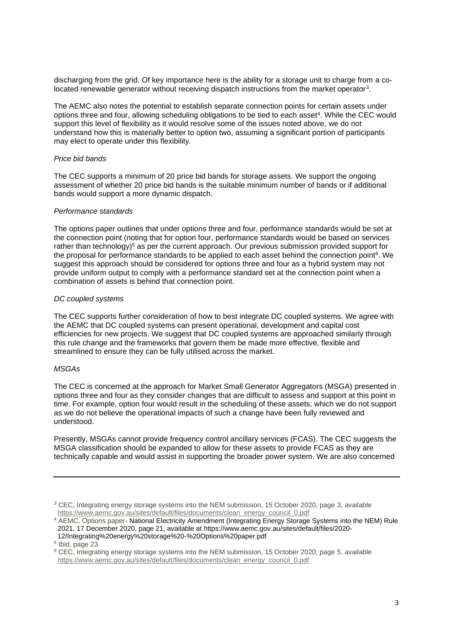discharging from the grid. Of key importance here is the ability for a storage unit to charge from a colocated renewable generator without receiving dispatch instructions from the market operator<sup>3</sup>.

The AEMC also notes the potential to establish separate connection points for certain assets under options three and four, allowing scheduling obligations to be tied to each asset<sup>4</sup>. While the CEC would support this level of flexibility as it would resolve some of the issues noted above, we do not understand how this is materially better to option two, assuming a significant portion of participants may elect to operate under this flexibility.

## *Price bid bands*

The CEC supports a minimum of 20 price bid bands for storage assets. We support the ongoing assessment of whether 20 price bid bands is the suitable minimum number of bands or if additional bands would support a more dynamic dispatch.

### *Performance standards*

The options paper outlines that under options three and four, performance standards would be set at the connection point (noting that for option four, performance standards would be based on services rather than technology)<sup>5</sup> as per the current approach. Our previous submission provided support for the proposal for performance standards to be applied to each asset behind the connection point<sup>6</sup>. We suggest this approach should be considered for options three and four as a hybrid system may not provide uniform output to comply with a performance standard set at the connection point when a combination of assets is behind that connection point.

## *DC coupled systems*

The CEC supports further consideration of how to best integrate DC coupled systems. We agree with the AEMC that DC coupled systems can present operational, development and capital cost efficiencies for new projects. We suggest that DC coupled systems are approached similarly through this rule change and the frameworks that govern them be made more effective, flexible and streamlined to ensure they can be fully utilised across the market.

### *MSGAs*

The CEC is concerned at the approach for Market Small Generator Aggregators (MSGA) presented in options three and four as they consider changes that are difficult to assess and support at this point in time. For example, option four would result in the scheduling of these assets, which we do not support as we do not believe the operational impacts of such a change have been fully reviewed and understood.

Presently, MSGAs cannot provide frequency control ancillary services (FCAS). The CEC suggests the MSGA classification should be expanded to allow for these assets to provide FCAS as they are technically capable and would assist in supporting the broader power system. We are also concerned

<sup>&</sup>lt;sup>3</sup> CEC, Integrating energy storage systems into the NEM submission, 15 October 2020, page 3, available [https://www.aemc.gov.au/sites/default/files/documents/clean\\_energy\\_council\\_0.pdf](https://www.aemc.gov.au/sites/default/files/documents/clean_energy_council_0.pdf)

<sup>&</sup>lt;sup>4</sup> AEMC, Options paper- National Electricity Amendment (Integrating Energy Storage Systems into the NEM) Rule 2021, 17 December 2020, page 21, available at https://www.aemc.gov.au/sites/default/files/2020- 12/Integrating%20energy%20storage%20-%20Options%20paper.pdf

<sup>5</sup> Ibid, page 23

<sup>6</sup> CEC, Integrating energy storage systems into the NEM submission, 15 October 2020, page 5, available [https://www.aemc.gov.au/sites/default/files/documents/clean\\_energy\\_council\\_0.pdf](https://www.aemc.gov.au/sites/default/files/documents/clean_energy_council_0.pdf)